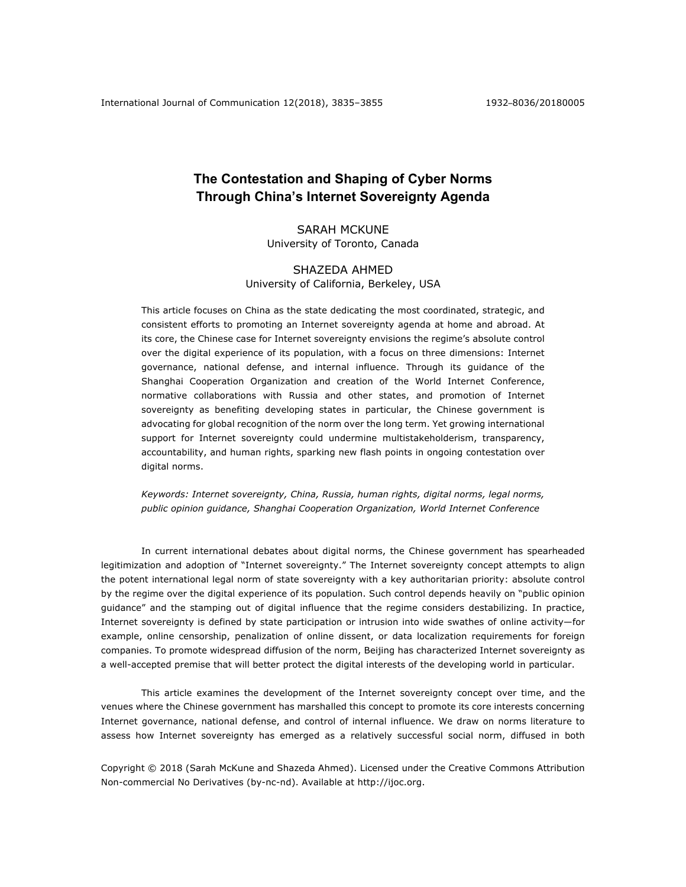# **The Contestation and Shaping of Cyber Norms Through China's Internet Sovereignty Agenda**

SARAH MCKUNE University of Toronto, Canada

# SHAZEDA AHMED University of California, Berkeley, USA

This article focuses on China as the state dedicating the most coordinated, strategic, and consistent efforts to promoting an Internet sovereignty agenda at home and abroad. At its core, the Chinese case for Internet sovereignty envisions the regime's absolute control over the digital experience of its population, with a focus on three dimensions: Internet governance, national defense, and internal influence. Through its guidance of the Shanghai Cooperation Organization and creation of the World Internet Conference, normative collaborations with Russia and other states, and promotion of Internet sovereignty as benefiting developing states in particular, the Chinese government is advocating for global recognition of the norm over the long term. Yet growing international support for Internet sovereignty could undermine multistakeholderism, transparency, accountability, and human rights, sparking new flash points in ongoing contestation over digital norms.

*Keywords: Internet sovereignty, China, Russia, human rights, digital norms, legal norms, public opinion guidance, Shanghai Cooperation Organization, World Internet Conference*

In current international debates about digital norms, the Chinese government has spearheaded legitimization and adoption of "Internet sovereignty." The Internet sovereignty concept attempts to align the potent international legal norm of state sovereignty with a key authoritarian priority: absolute control by the regime over the digital experience of its population. Such control depends heavily on "public opinion guidance" and the stamping out of digital influence that the regime considers destabilizing. In practice, Internet sovereignty is defined by state participation or intrusion into wide swathes of online activity—for example, online censorship, penalization of online dissent, or data localization requirements for foreign companies. To promote widespread diffusion of the norm, Beijing has characterized Internet sovereignty as a well-accepted premise that will better protect the digital interests of the developing world in particular.

This article examines the development of the Internet sovereignty concept over time, and the venues where the Chinese government has marshalled this concept to promote its core interests concerning Internet governance, national defense, and control of internal influence. We draw on norms literature to assess how Internet sovereignty has emerged as a relatively successful social norm, diffused in both

Copyright © 2018 (Sarah McKune and Shazeda Ahmed). Licensed under the Creative Commons Attribution Non-commercial No Derivatives (by-nc-nd). Available at http://ijoc.org.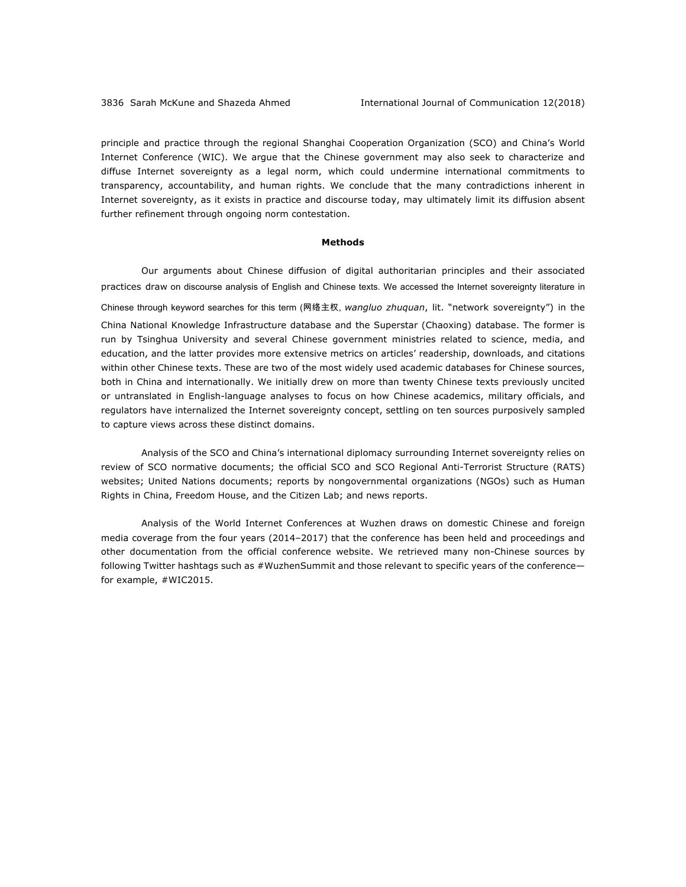principle and practice through the regional Shanghai Cooperation Organization (SCO) and China's World Internet Conference (WIC). We argue that the Chinese government may also seek to characterize and diffuse Internet sovereignty as a legal norm, which could undermine international commitments to transparency, accountability, and human rights. We conclude that the many contradictions inherent in Internet sovereignty, as it exists in practice and discourse today, may ultimately limit its diffusion absent further refinement through ongoing norm contestation.

#### **Methods**

Our arguments about Chinese diffusion of digital authoritarian principles and their associated practices draw on discourse analysis of English and Chinese texts. We accessed the Internet sovereignty literature in Chinese through keyword searches for this term (网络主权, *wangluo zhuquan*, lit. "network sovereignty") in the China National Knowledge Infrastructure database and the Superstar (Chaoxing) database. The former is run by Tsinghua University and several Chinese government ministries related to science, media, and education, and the latter provides more extensive metrics on articles' readership, downloads, and citations within other Chinese texts. These are two of the most widely used academic databases for Chinese sources, both in China and internationally. We initially drew on more than twenty Chinese texts previously uncited or untranslated in English-language analyses to focus on how Chinese academics, military officials, and regulators have internalized the Internet sovereignty concept, settling on ten sources purposively sampled to capture views across these distinct domains.

Analysis of the SCO and China's international diplomacy surrounding Internet sovereignty relies on review of SCO normative documents; the official SCO and SCO Regional Anti-Terrorist Structure (RATS) websites; United Nations documents; reports by nongovernmental organizations (NGOs) such as Human Rights in China, Freedom House, and the Citizen Lab; and news reports.

Analysis of the World Internet Conferences at Wuzhen draws on domestic Chinese and foreign media coverage from the four years (2014–2017) that the conference has been held and proceedings and other documentation from the official conference website. We retrieved many non-Chinese sources by following Twitter hashtags such as #WuzhenSummit and those relevant to specific years of the conferencefor example, #WIC2015.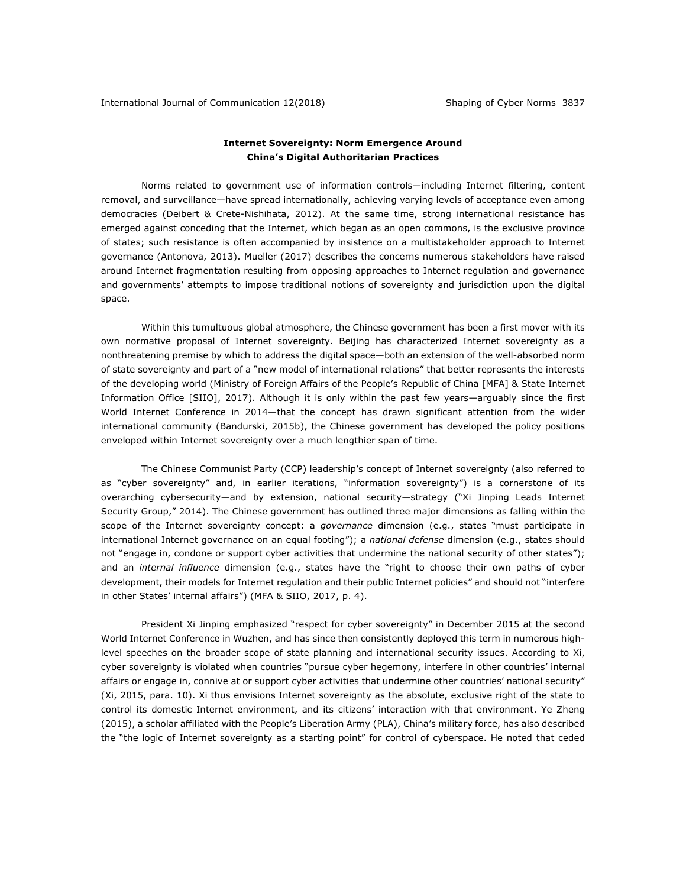## **Internet Sovereignty: Norm Emergence Around China's Digital Authoritarian Practices**

Norms related to government use of information controls—including Internet filtering, content removal, and surveillance—have spread internationally, achieving varying levels of acceptance even among democracies (Deibert & Crete-Nishihata, 2012). At the same time, strong international resistance has emerged against conceding that the Internet, which began as an open commons, is the exclusive province of states; such resistance is often accompanied by insistence on a multistakeholder approach to Internet governance (Antonova, 2013). Mueller (2017) describes the concerns numerous stakeholders have raised around Internet fragmentation resulting from opposing approaches to Internet regulation and governance and governments' attempts to impose traditional notions of sovereignty and jurisdiction upon the digital space.

Within this tumultuous global atmosphere, the Chinese government has been a first mover with its own normative proposal of Internet sovereignty. Beijing has characterized Internet sovereignty as a nonthreatening premise by which to address the digital space—both an extension of the well-absorbed norm of state sovereignty and part of a "new model of international relations" that better represents the interests of the developing world (Ministry of Foreign Affairs of the People's Republic of China [MFA] & State Internet Information Office [SIIO], 2017). Although it is only within the past few years—arguably since the first World Internet Conference in 2014—that the concept has drawn significant attention from the wider international community (Bandurski, 2015b), the Chinese government has developed the policy positions enveloped within Internet sovereignty over a much lengthier span of time.

The Chinese Communist Party (CCP) leadership's concept of Internet sovereignty (also referred to as "cyber sovereignty" and, in earlier iterations, "information sovereignty") is a cornerstone of its overarching cybersecurity—and by extension, national security—strategy ("Xi Jinping Leads Internet Security Group," 2014). The Chinese government has outlined three major dimensions as falling within the scope of the Internet sovereignty concept: a *governance* dimension (e.g., states "must participate in international Internet governance on an equal footing"); a *national defense* dimension (e.g., states should not "engage in, condone or support cyber activities that undermine the national security of other states"); and an *internal influence* dimension (e.g., states have the "right to choose their own paths of cyber development, their models for Internet regulation and their public Internet policies" and should not "interfere in other States' internal affairs") (MFA & SIIO, 2017, p. 4).

President Xi Jinping emphasized "respect for cyber sovereignty" in December 2015 at the second World Internet Conference in Wuzhen, and has since then consistently deployed this term in numerous highlevel speeches on the broader scope of state planning and international security issues. According to Xi, cyber sovereignty is violated when countries "pursue cyber hegemony, interfere in other countries' internal affairs or engage in, connive at or support cyber activities that undermine other countries' national security" (Xi, 2015, para. 10). Xi thus envisions Internet sovereignty as the absolute, exclusive right of the state to control its domestic Internet environment, and its citizens' interaction with that environment. Ye Zheng (2015), a scholar affiliated with the People's Liberation Army (PLA), China's military force, has also described the "the logic of Internet sovereignty as a starting point" for control of cyberspace. He noted that ceded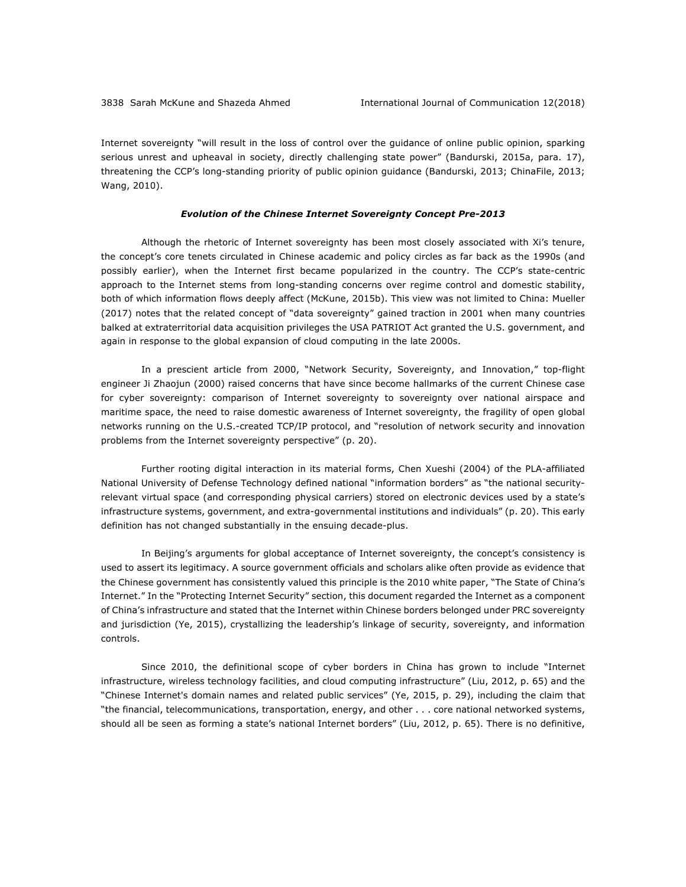Internet sovereignty "will result in the loss of control over the guidance of online public opinion, sparking serious unrest and upheaval in society, directly challenging state power" (Bandurski, 2015a, para. 17), threatening the CCP's long-standing priority of public opinion guidance (Bandurski, 2013; ChinaFile, 2013; Wang, 2010).

#### *Evolution of the Chinese Internet Sovereignty Concept Pre-2013*

Although the rhetoric of Internet sovereignty has been most closely associated with Xi's tenure, the concept's core tenets circulated in Chinese academic and policy circles as far back as the 1990s (and possibly earlier), when the Internet first became popularized in the country. The CCP's state-centric approach to the Internet stems from long-standing concerns over regime control and domestic stability, both of which information flows deeply affect (McKune, 2015b). This view was not limited to China: Mueller (2017) notes that the related concept of "data sovereignty" gained traction in 2001 when many countries balked at extraterritorial data acquisition privileges the USA PATRIOT Act granted the U.S. government, and again in response to the global expansion of cloud computing in the late 2000s.

In a prescient article from 2000, "Network Security, Sovereignty, and Innovation," top-flight engineer Ji Zhaojun (2000) raised concerns that have since become hallmarks of the current Chinese case for cyber sovereignty: comparison of Internet sovereignty to sovereignty over national airspace and maritime space, the need to raise domestic awareness of Internet sovereignty, the fragility of open global networks running on the U.S.-created TCP/IP protocol, and "resolution of network security and innovation problems from the Internet sovereignty perspective" (p. 20).

Further rooting digital interaction in its material forms, Chen Xueshi (2004) of the PLA-affiliated National University of Defense Technology defined national "information borders" as "the national securityrelevant virtual space (and corresponding physical carriers) stored on electronic devices used by a state's infrastructure systems, government, and extra-governmental institutions and individuals" (p. 20). This early definition has not changed substantially in the ensuing decade-plus.

In Beijing's arguments for global acceptance of Internet sovereignty, the concept's consistency is used to assert its legitimacy. A source government officials and scholars alike often provide as evidence that the Chinese government has consistently valued this principle is the 2010 white paper, "The State of China's Internet." In the "Protecting Internet Security" section, this document regarded the Internet as a component of China's infrastructure and stated that the Internet within Chinese borders belonged under PRC sovereignty and jurisdiction (Ye, 2015), crystallizing the leadership's linkage of security, sovereignty, and information controls.

Since 2010, the definitional scope of cyber borders in China has grown to include "Internet infrastructure, wireless technology facilities, and cloud computing infrastructure" (Liu, 2012, p. 65) and the "Chinese Internet's domain names and related public services" (Ye, 2015, p. 29), including the claim that "the financial, telecommunications, transportation, energy, and other . . . core national networked systems, should all be seen as forming a state's national Internet borders" (Liu, 2012, p. 65). There is no definitive,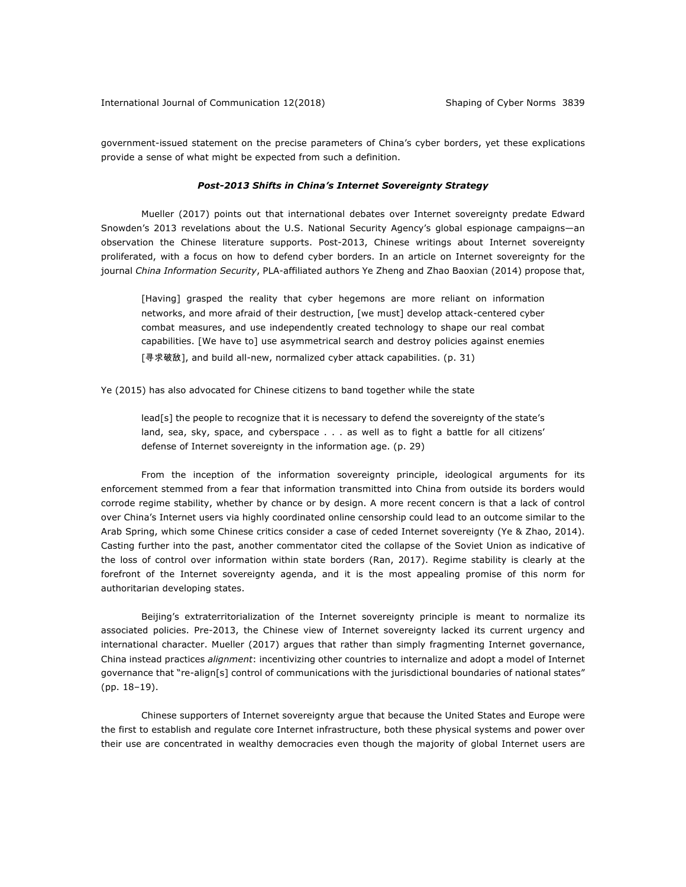government-issued statement on the precise parameters of China's cyber borders, yet these explications provide a sense of what might be expected from such a definition.

#### *Post-2013 Shifts in China's Internet Sovereignty Strategy*

Mueller (2017) points out that international debates over Internet sovereignty predate Edward Snowden's 2013 revelations about the U.S. National Security Agency's global espionage campaigns—an observation the Chinese literature supports. Post-2013, Chinese writings about Internet sovereignty proliferated, with a focus on how to defend cyber borders. In an article on Internet sovereignty for the journal *China Information Security*, PLA-affiliated authors Ye Zheng and Zhao Baoxian (2014) propose that,

[Having] grasped the reality that cyber hegemons are more reliant on information networks, and more afraid of their destruction, [we must] develop attack-centered cyber combat measures, and use independently created technology to shape our real combat capabilities. [We have to] use asymmetrical search and destroy policies against enemies [寻求破敌], and build all-new, normalized cyber attack capabilities. (p. 31)

Ye (2015) has also advocated for Chinese citizens to band together while the state

lead[s] the people to recognize that it is necessary to defend the sovereignty of the state's land, sea, sky, space, and cyberspace . . . as well as to fight a battle for all citizens' defense of Internet sovereignty in the information age. (p. 29)

From the inception of the information sovereignty principle, ideological arguments for its enforcement stemmed from a fear that information transmitted into China from outside its borders would corrode regime stability, whether by chance or by design. A more recent concern is that a lack of control over China's Internet users via highly coordinated online censorship could lead to an outcome similar to the Arab Spring, which some Chinese critics consider a case of ceded Internet sovereignty (Ye & Zhao, 2014). Casting further into the past, another commentator cited the collapse of the Soviet Union as indicative of the loss of control over information within state borders (Ran, 2017). Regime stability is clearly at the forefront of the Internet sovereignty agenda, and it is the most appealing promise of this norm for authoritarian developing states.

Beijing's extraterritorialization of the Internet sovereignty principle is meant to normalize its associated policies. Pre-2013, the Chinese view of Internet sovereignty lacked its current urgency and international character. Mueller (2017) argues that rather than simply fragmenting Internet governance, China instead practices *alignment*: incentivizing other countries to internalize and adopt a model of Internet governance that "re-align[s] control of communications with the jurisdictional boundaries of national states" (pp. 18–19).

Chinese supporters of Internet sovereignty argue that because the United States and Europe were the first to establish and regulate core Internet infrastructure, both these physical systems and power over their use are concentrated in wealthy democracies even though the majority of global Internet users are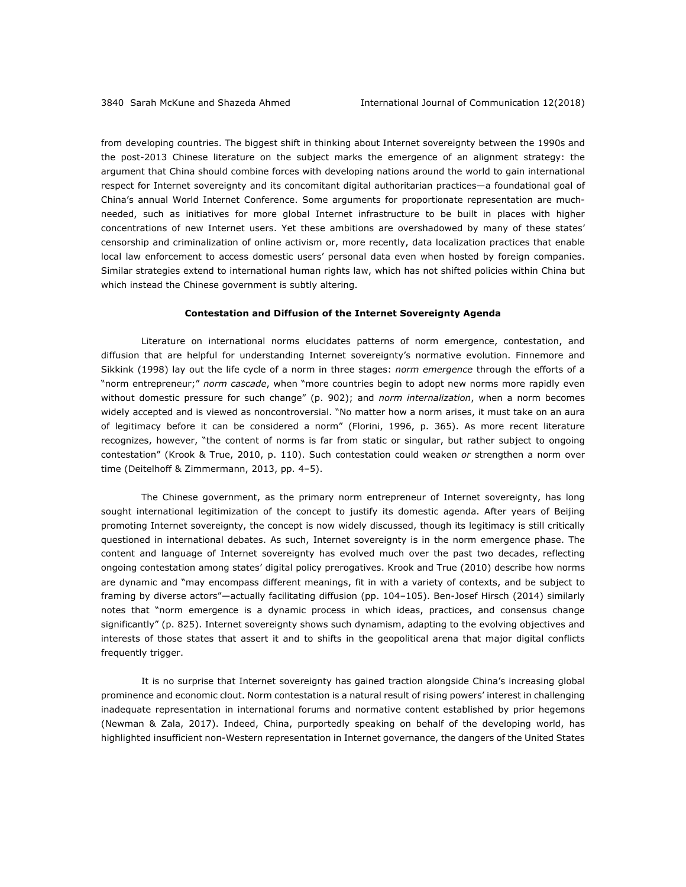from developing countries. The biggest shift in thinking about Internet sovereignty between the 1990s and the post-2013 Chinese literature on the subject marks the emergence of an alignment strategy: the argument that China should combine forces with developing nations around the world to gain international respect for Internet sovereignty and its concomitant digital authoritarian practices—a foundational goal of China's annual World Internet Conference. Some arguments for proportionate representation are muchneeded, such as initiatives for more global Internet infrastructure to be built in places with higher concentrations of new Internet users. Yet these ambitions are overshadowed by many of these states' censorship and criminalization of online activism or, more recently, data localization practices that enable local law enforcement to access domestic users' personal data even when hosted by foreign companies. Similar strategies extend to international human rights law, which has not shifted policies within China but which instead the Chinese government is subtly altering.

## **Contestation and Diffusion of the Internet Sovereignty Agenda**

Literature on international norms elucidates patterns of norm emergence, contestation, and diffusion that are helpful for understanding Internet sovereignty's normative evolution. Finnemore and Sikkink (1998) lay out the life cycle of a norm in three stages: *norm emergence* through the efforts of a "norm entrepreneur;" *norm cascade*, when "more countries begin to adopt new norms more rapidly even without domestic pressure for such change" (p. 902); and *norm internalization*, when a norm becomes widely accepted and is viewed as noncontroversial. "No matter how a norm arises, it must take on an aura of legitimacy before it can be considered a norm" (Florini, 1996, p. 365). As more recent literature recognizes, however, "the content of norms is far from static or singular, but rather subject to ongoing contestation" (Krook & True, 2010, p. 110). Such contestation could weaken *or* strengthen a norm over time (Deitelhoff & Zimmermann, 2013, pp. 4-5).

The Chinese government, as the primary norm entrepreneur of Internet sovereignty, has long sought international legitimization of the concept to justify its domestic agenda. After years of Beijing promoting Internet sovereignty, the concept is now widely discussed, though its legitimacy is still critically questioned in international debates. As such, Internet sovereignty is in the norm emergence phase. The content and language of Internet sovereignty has evolved much over the past two decades, reflecting ongoing contestation among states' digital policy prerogatives. Krook and True (2010) describe how norms are dynamic and "may encompass different meanings, fit in with a variety of contexts, and be subject to framing by diverse actors"—actually facilitating diffusion (pp. 104–105). Ben-Josef Hirsch (2014) similarly notes that "norm emergence is a dynamic process in which ideas, practices, and consensus change significantly" (p. 825). Internet sovereignty shows such dynamism, adapting to the evolving objectives and interests of those states that assert it and to shifts in the geopolitical arena that major digital conflicts frequently trigger.

It is no surprise that Internet sovereignty has gained traction alongside China's increasing global prominence and economic clout. Norm contestation is a natural result of rising powers' interest in challenging inadequate representation in international forums and normative content established by prior hegemons (Newman & Zala, 2017). Indeed, China, purportedly speaking on behalf of the developing world, has highlighted insufficient non-Western representation in Internet governance, the dangers of the United States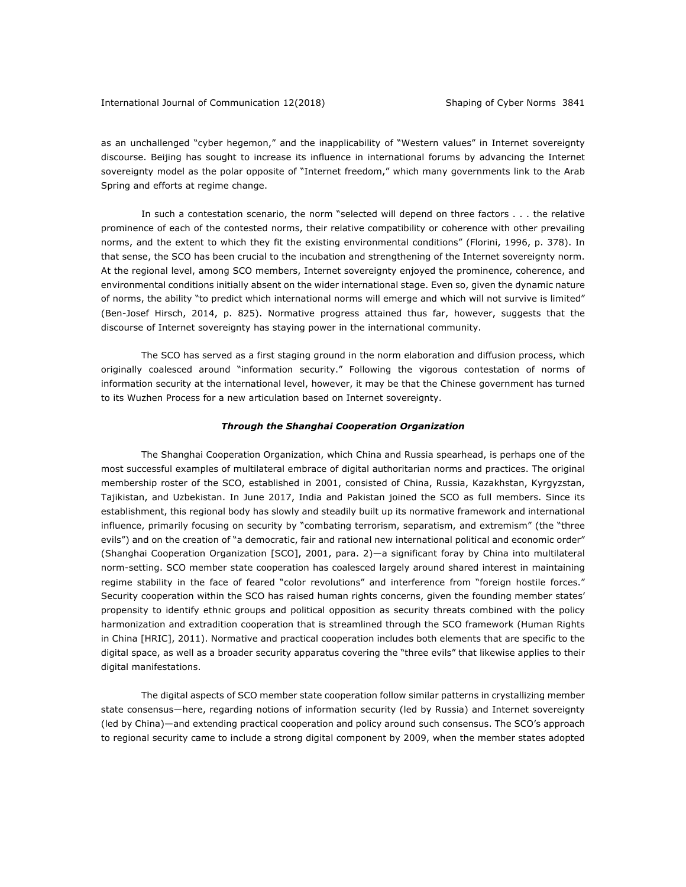as an unchallenged "cyber hegemon," and the inapplicability of "Western values" in Internet sovereignty discourse. Beijing has sought to increase its influence in international forums by advancing the Internet sovereignty model as the polar opposite of "Internet freedom," which many governments link to the Arab Spring and efforts at regime change.

In such a contestation scenario, the norm "selected will depend on three factors . . . the relative prominence of each of the contested norms, their relative compatibility or coherence with other prevailing norms, and the extent to which they fit the existing environmental conditions" (Florini, 1996, p. 378). In that sense, the SCO has been crucial to the incubation and strengthening of the Internet sovereignty norm. At the regional level, among SCO members, Internet sovereignty enjoyed the prominence, coherence, and environmental conditions initially absent on the wider international stage. Even so, given the dynamic nature of norms, the ability "to predict which international norms will emerge and which will not survive is limited" (Ben-Josef Hirsch, 2014, p. 825). Normative progress attained thus far, however, suggests that the discourse of Internet sovereignty has staying power in the international community.

The SCO has served as a first staging ground in the norm elaboration and diffusion process, which originally coalesced around "information security." Following the vigorous contestation of norms of information security at the international level, however, it may be that the Chinese government has turned to its Wuzhen Process for a new articulation based on Internet sovereignty.

#### *Through the Shanghai Cooperation Organization*

The Shanghai Cooperation Organization, which China and Russia spearhead, is perhaps one of the most successful examples of multilateral embrace of digital authoritarian norms and practices. The original membership roster of the SCO, established in 2001, consisted of China, Russia, Kazakhstan, Kyrgyzstan, Tajikistan, and Uzbekistan. In June 2017, India and Pakistan joined the SCO as full members. Since its establishment, this regional body has slowly and steadily built up its normative framework and international influence, primarily focusing on security by "combating terrorism, separatism, and extremism" (the "three evils") and on the creation of "a democratic, fair and rational new international political and economic order" (Shanghai Cooperation Organization [SCO], 2001, para. 2)—a significant foray by China into multilateral norm-setting. SCO member state cooperation has coalesced largely around shared interest in maintaining regime stability in the face of feared "color revolutions" and interference from "foreign hostile forces." Security cooperation within the SCO has raised human rights concerns, given the founding member states' propensity to identify ethnic groups and political opposition as security threats combined with the policy harmonization and extradition cooperation that is streamlined through the SCO framework (Human Rights in China [HRIC], 2011). Normative and practical cooperation includes both elements that are specific to the digital space, as well as a broader security apparatus covering the "three evils" that likewise applies to their digital manifestations.

The digital aspects of SCO member state cooperation follow similar patterns in crystallizing member state consensus—here, regarding notions of information security (led by Russia) and Internet sovereignty (led by China)—and extending practical cooperation and policy around such consensus. The SCO's approach to regional security came to include a strong digital component by 2009, when the member states adopted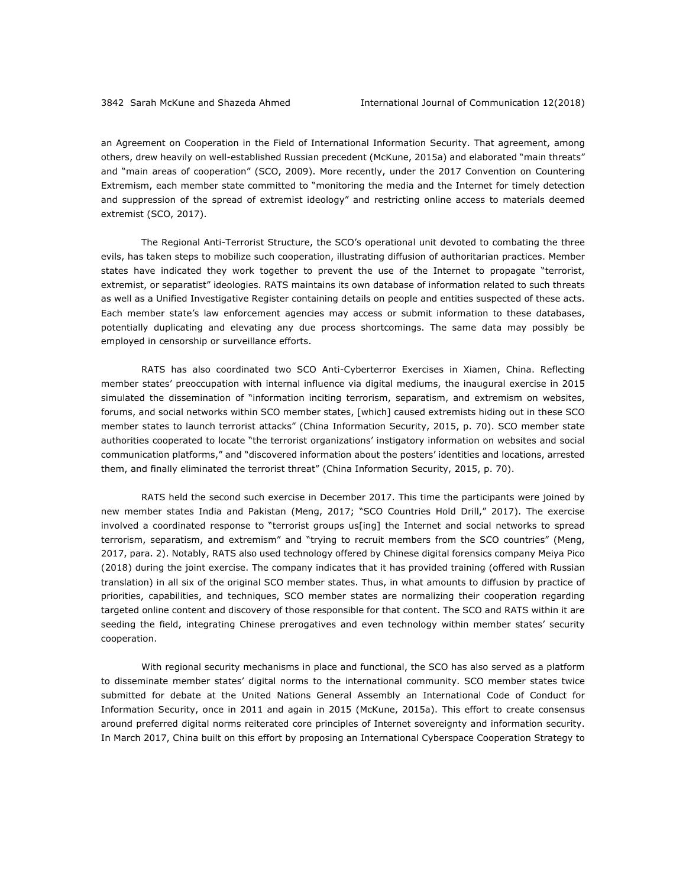an Agreement on Cooperation in the Field of International Information Security. That agreement, among others, drew heavily on well-established Russian precedent (McKune, 2015a) and elaborated "main threats" and "main areas of cooperation" (SCO, 2009). More recently, under the 2017 Convention on Countering Extremism, each member state committed to "monitoring the media and the Internet for timely detection and suppression of the spread of extremist ideology" and restricting online access to materials deemed extremist (SCO, 2017).

The Regional Anti-Terrorist Structure, the SCO's operational unit devoted to combating the three evils, has taken steps to mobilize such cooperation, illustrating diffusion of authoritarian practices. Member states have indicated they work together to prevent the use of the Internet to propagate "terrorist, extremist, or separatist" ideologies. RATS maintains its own database of information related to such threats as well as a Unified Investigative Register containing details on people and entities suspected of these acts. Each member state's law enforcement agencies may access or submit information to these databases, potentially duplicating and elevating any due process shortcomings. The same data may possibly be employed in censorship or surveillance efforts.

RATS has also coordinated two SCO Anti-Cyberterror Exercises in Xiamen, China. Reflecting member states' preoccupation with internal influence via digital mediums, the inaugural exercise in 2015 simulated the dissemination of "information inciting terrorism, separatism, and extremism on websites, forums, and social networks within SCO member states, [which] caused extremists hiding out in these SCO member states to launch terrorist attacks" (China Information Security, 2015, p. 70). SCO member state authorities cooperated to locate "the terrorist organizations' instigatory information on websites and social communication platforms," and "discovered information about the posters' identities and locations, arrested them, and finally eliminated the terrorist threat" (China Information Security, 2015, p. 70).

RATS held the second such exercise in December 2017. This time the participants were joined by new member states India and Pakistan (Meng, 2017; "SCO Countries Hold Drill," 2017). The exercise involved a coordinated response to "terrorist groups us[ing] the Internet and social networks to spread terrorism, separatism, and extremism" and "trying to recruit members from the SCO countries" (Meng, 2017, para. 2). Notably, RATS also used technology offered by Chinese digital forensics company Meiya Pico (2018) during the joint exercise. The company indicates that it has provided training (offered with Russian translation) in all six of the original SCO member states. Thus, in what amounts to diffusion by practice of priorities, capabilities, and techniques, SCO member states are normalizing their cooperation regarding targeted online content and discovery of those responsible for that content. The SCO and RATS within it are seeding the field, integrating Chinese prerogatives and even technology within member states' security cooperation.

With regional security mechanisms in place and functional, the SCO has also served as a platform to disseminate member states' digital norms to the international community. SCO member states twice submitted for debate at the United Nations General Assembly an International Code of Conduct for Information Security, once in 2011 and again in 2015 (McKune, 2015a). This effort to create consensus around preferred digital norms reiterated core principles of Internet sovereignty and information security. In March 2017, China built on this effort by proposing an International Cyberspace Cooperation Strategy to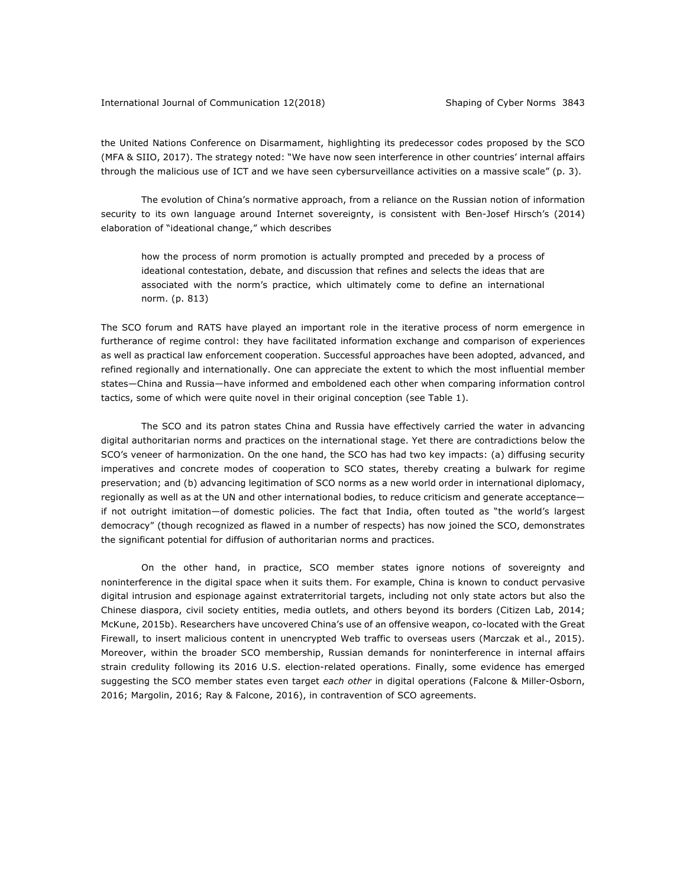#### International Journal of Communication 12(2018) Shaping of Cyber Norms 3843

the United Nations Conference on Disarmament, highlighting its predecessor codes proposed by the SCO (MFA & SIIO, 2017). The strategy noted: "We have now seen interference in other countries' internal affairs through the malicious use of ICT and we have seen cybersurveillance activities on a massive scale" (p. 3).

The evolution of China's normative approach, from a reliance on the Russian notion of information security to its own language around Internet sovereignty, is consistent with Ben-Josef Hirsch's (2014) elaboration of "ideational change," which describes

how the process of norm promotion is actually prompted and preceded by a process of ideational contestation, debate, and discussion that refines and selects the ideas that are associated with the norm's practice, which ultimately come to define an international norm. (p. 813)

The SCO forum and RATS have played an important role in the iterative process of norm emergence in furtherance of regime control: they have facilitated information exchange and comparison of experiences as well as practical law enforcement cooperation. Successful approaches have been adopted, advanced, and refined regionally and internationally. One can appreciate the extent to which the most influential member states—China and Russia—have informed and emboldened each other when comparing information control tactics, some of which were quite novel in their original conception (see Table 1).

The SCO and its patron states China and Russia have effectively carried the water in advancing digital authoritarian norms and practices on the international stage. Yet there are contradictions below the SCO's veneer of harmonization. On the one hand, the SCO has had two key impacts: (a) diffusing security imperatives and concrete modes of cooperation to SCO states, thereby creating a bulwark for regime preservation; and (b) advancing legitimation of SCO norms as a new world order in international diplomacy, regionally as well as at the UN and other international bodies, to reduce criticism and generate acceptance if not outright imitation—of domestic policies. The fact that India, often touted as "the world's largest democracy" (though recognized as flawed in a number of respects) has now joined the SCO, demonstrates the significant potential for diffusion of authoritarian norms and practices.

On the other hand, in practice, SCO member states ignore notions of sovereignty and noninterference in the digital space when it suits them. For example, China is known to conduct pervasive digital intrusion and espionage against extraterritorial targets, including not only state actors but also the Chinese diaspora, civil society entities, media outlets, and others beyond its borders (Citizen Lab, 2014; McKune, 2015b). Researchers have uncovered China's use of an offensive weapon, co-located with the Great Firewall, to insert malicious content in unencrypted Web traffic to overseas users (Marczak et al., 2015). Moreover, within the broader SCO membership, Russian demands for noninterference in internal affairs strain credulity following its 2016 U.S. election-related operations. Finally, some evidence has emerged suggesting the SCO member states even target *each other* in digital operations (Falcone & Miller-Osborn, 2016; Margolin, 2016; Ray & Falcone, 2016), in contravention of SCO agreements.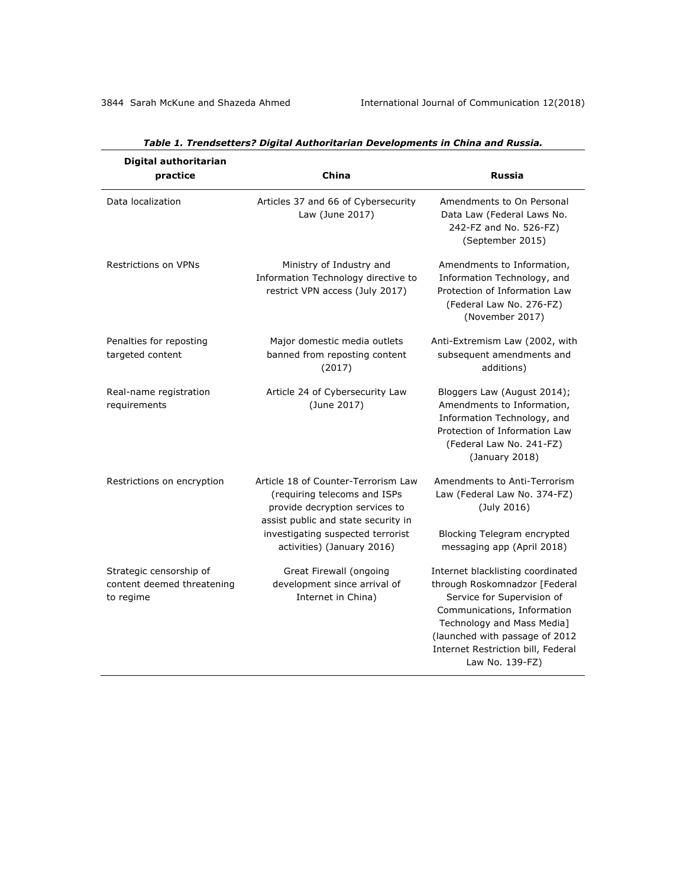| Digital authoritarian<br>practice                                  | China                                                                                                                                        | <b>Russia</b>                                                                                                                                                                                                                                            |
|--------------------------------------------------------------------|----------------------------------------------------------------------------------------------------------------------------------------------|----------------------------------------------------------------------------------------------------------------------------------------------------------------------------------------------------------------------------------------------------------|
| Data localization                                                  | Articles 37 and 66 of Cybersecurity<br>Law (June 2017)                                                                                       | Amendments to On Personal<br>Data Law (Federal Laws No.<br>242-FZ and No. 526-FZ)<br>(September 2015)                                                                                                                                                    |
| <b>Restrictions on VPNs</b>                                        | Ministry of Industry and<br>Information Technology directive to<br>restrict VPN access (July 2017)                                           | Amendments to Information,<br>Information Technology, and<br>Protection of Information Law<br>(Federal Law No. 276-FZ)<br>(November 2017)                                                                                                                |
| Penalties for reposting<br>targeted content                        | Major domestic media outlets<br>banned from reposting content<br>(2017)                                                                      | Anti-Extremism Law (2002, with<br>subsequent amendments and<br>additions)                                                                                                                                                                                |
| Real-name registration<br>requirements                             | Article 24 of Cybersecurity Law<br>(June 2017)                                                                                               | Bloggers Law (August 2014);<br>Amendments to Information,<br>Information Technology, and<br>Protection of Information Law<br>(Federal Law No. 241-FZ)<br>(January 2018)                                                                                  |
| Restrictions on encryption                                         | Article 18 of Counter-Terrorism Law<br>(requiring telecoms and ISPs<br>provide decryption services to<br>assist public and state security in | Amendments to Anti-Terrorism<br>Law (Federal Law No. 374-FZ)<br>(July 2016)                                                                                                                                                                              |
|                                                                    | investigating suspected terrorist<br>activities) (January 2016)                                                                              | Blocking Telegram encrypted<br>messaging app (April 2018)                                                                                                                                                                                                |
| Strategic censorship of<br>content deemed threatening<br>to regime | Great Firewall (ongoing<br>development since arrival of<br>Internet in China)                                                                | Internet blacklisting coordinated<br>through Roskomnadzor [Federal<br>Service for Supervision of<br>Communications, Information<br>Technology and Mass Media]<br>(launched with passage of 2012<br>Internet Restriction bill, Federal<br>Law No. 139-FZ) |

# *Table 1. Trendsetters? Digital Authoritarian Developments in China and Russia.*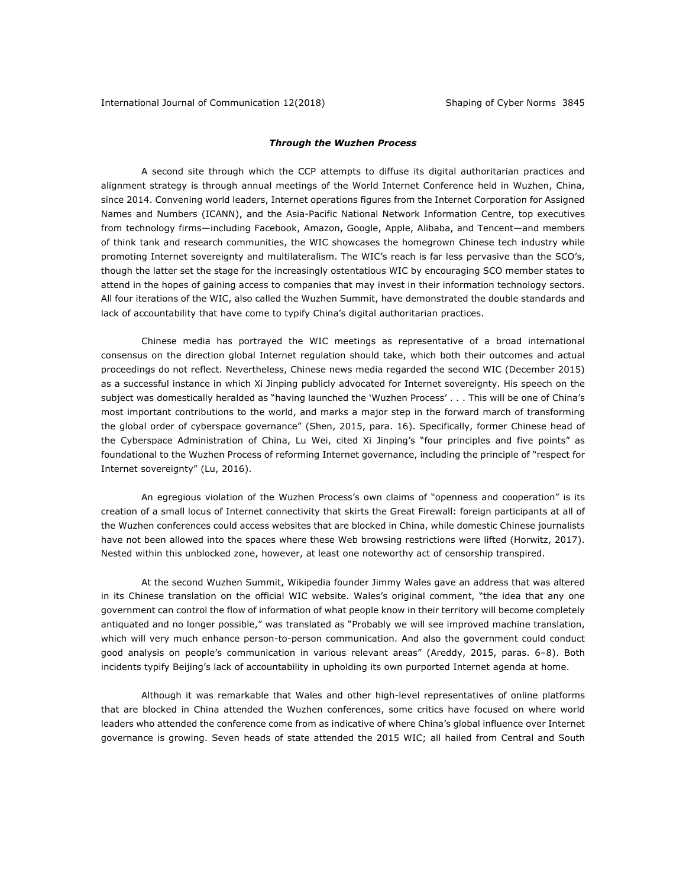### *Through the Wuzhen Process*

A second site through which the CCP attempts to diffuse its digital authoritarian practices and alignment strategy is through annual meetings of the World Internet Conference held in Wuzhen, China, since 2014. Convening world leaders, Internet operations figures from the Internet Corporation for Assigned Names and Numbers (ICANN), and the Asia-Pacific National Network Information Centre, top executives from technology firms—including Facebook, Amazon, Google, Apple, Alibaba, and Tencent—and members of think tank and research communities, the WIC showcases the homegrown Chinese tech industry while promoting Internet sovereignty and multilateralism. The WIC's reach is far less pervasive than the SCO's, though the latter set the stage for the increasingly ostentatious WIC by encouraging SCO member states to attend in the hopes of gaining access to companies that may invest in their information technology sectors. All four iterations of the WIC, also called the Wuzhen Summit, have demonstrated the double standards and lack of accountability that have come to typify China's digital authoritarian practices.

Chinese media has portrayed the WIC meetings as representative of a broad international consensus on the direction global Internet regulation should take, which both their outcomes and actual proceedings do not reflect. Nevertheless, Chinese news media regarded the second WIC (December 2015) as a successful instance in which Xi Jinping publicly advocated for Internet sovereignty. His speech on the subject was domestically heralded as "having launched the 'Wuzhen Process' . . . This will be one of China's most important contributions to the world, and marks a major step in the forward march of transforming the global order of cyberspace governance" (Shen, 2015, para. 16). Specifically, former Chinese head of the Cyberspace Administration of China, Lu Wei, cited Xi Jinping's "four principles and five points" as foundational to the Wuzhen Process of reforming Internet governance, including the principle of "respect for Internet sovereignty" (Lu, 2016).

An egregious violation of the Wuzhen Process's own claims of "openness and cooperation" is its creation of a small locus of Internet connectivity that skirts the Great Firewall: foreign participants at all of the Wuzhen conferences could access websites that are blocked in China, while domestic Chinese journalists have not been allowed into the spaces where these Web browsing restrictions were lifted (Horwitz, 2017). Nested within this unblocked zone, however, at least one noteworthy act of censorship transpired.

At the second Wuzhen Summit, Wikipedia founder Jimmy Wales gave an address that was altered in its Chinese translation on the official WIC website. Wales's original comment, "the idea that any one government can control the flow of information of what people know in their territory will become completely antiquated and no longer possible," was translated as "Probably we will see improved machine translation, which will very much enhance person-to-person communication. And also the government could conduct good analysis on people's communication in various relevant areas" (Areddy, 2015, paras. 6-8). Both incidents typify Beijing's lack of accountability in upholding its own purported Internet agenda at home.

Although it was remarkable that Wales and other high-level representatives of online platforms that are blocked in China attended the Wuzhen conferences, some critics have focused on where world leaders who attended the conference come from as indicative of where China's global influence over Internet governance is growing. Seven heads of state attended the 2015 WIC; all hailed from Central and South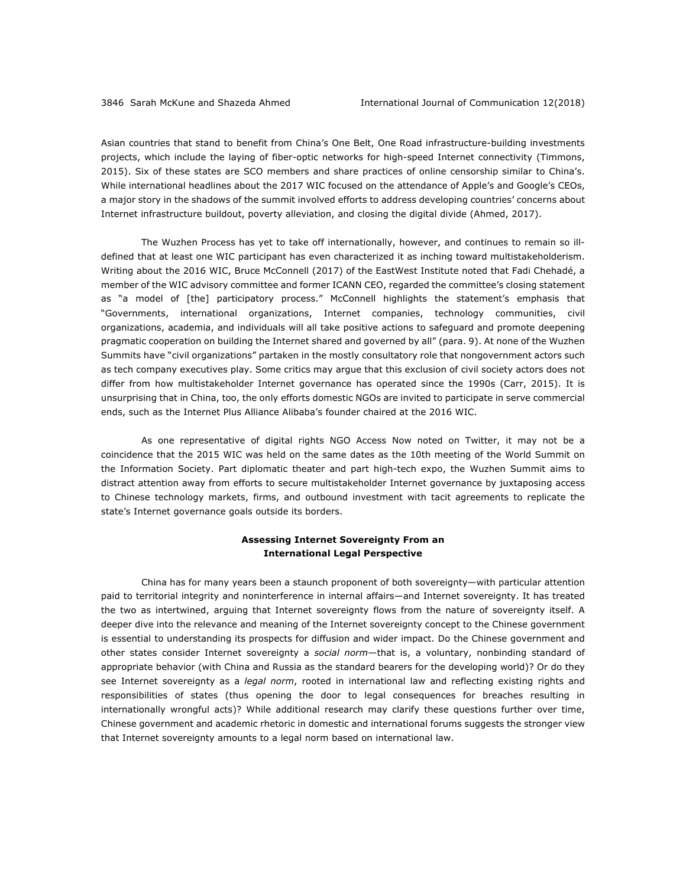Asian countries that stand to benefit from China's One Belt, One Road infrastructure-building investments projects, which include the laying of fiber-optic networks for high-speed Internet connectivity (Timmons, 2015). Six of these states are SCO members and share practices of online censorship similar to China's. While international headlines about the 2017 WIC focused on the attendance of Apple's and Google's CEOs, a major story in the shadows of the summit involved efforts to address developing countries' concerns about Internet infrastructure buildout, poverty alleviation, and closing the digital divide (Ahmed, 2017).

The Wuzhen Process has yet to take off internationally, however, and continues to remain so illdefined that at least one WIC participant has even characterized it as inching toward multistakeholderism. Writing about the 2016 WIC, Bruce McConnell (2017) of the EastWest Institute noted that Fadi Chehadé, a member of the WIC advisory committee and former ICANN CEO, regarded the committee's closing statement as "a model of [the] participatory process." McConnell highlights the statement's emphasis that "Governments, international organizations, Internet companies, technology communities, civil organizations, academia, and individuals will all take positive actions to safeguard and promote deepening pragmatic cooperation on building the Internet shared and governed by all" (para. 9). At none of the Wuzhen Summits have "civil organizations" partaken in the mostly consultatory role that nongovernment actors such as tech company executives play. Some critics may argue that this exclusion of civil society actors does not differ from how multistakeholder Internet governance has operated since the 1990s (Carr, 2015). It is unsurprising that in China, too, the only efforts domestic NGOs are invited to participate in serve commercial ends, such as the Internet Plus Alliance Alibaba's founder chaired at the 2016 WIC.

As one representative of digital rights NGO Access Now noted on Twitter, it may not be a coincidence that the 2015 WIC was held on the same dates as the 10th meeting of the World Summit on the Information Society. Part diplomatic theater and part high-tech expo, the Wuzhen Summit aims to distract attention away from efforts to secure multistakeholder Internet governance by juxtaposing access to Chinese technology markets, firms, and outbound investment with tacit agreements to replicate the state's Internet governance goals outside its borders.

# **Assessing Internet Sovereignty From an International Legal Perspective**

China has for many years been a staunch proponent of both sovereignty—with particular attention paid to territorial integrity and noninterference in internal affairs—and Internet sovereignty. It has treated the two as intertwined, arguing that Internet sovereignty flows from the nature of sovereignty itself. A deeper dive into the relevance and meaning of the Internet sovereignty concept to the Chinese government is essential to understanding its prospects for diffusion and wider impact. Do the Chinese government and other states consider Internet sovereignty a *social norm*—that is, a voluntary, nonbinding standard of appropriate behavior (with China and Russia as the standard bearers for the developing world)? Or do they see Internet sovereignty as a *legal norm*, rooted in international law and reflecting existing rights and responsibilities of states (thus opening the door to legal consequences for breaches resulting in internationally wrongful acts)? While additional research may clarify these questions further over time, Chinese government and academic rhetoric in domestic and international forums suggests the stronger view that Internet sovereignty amounts to a legal norm based on international law.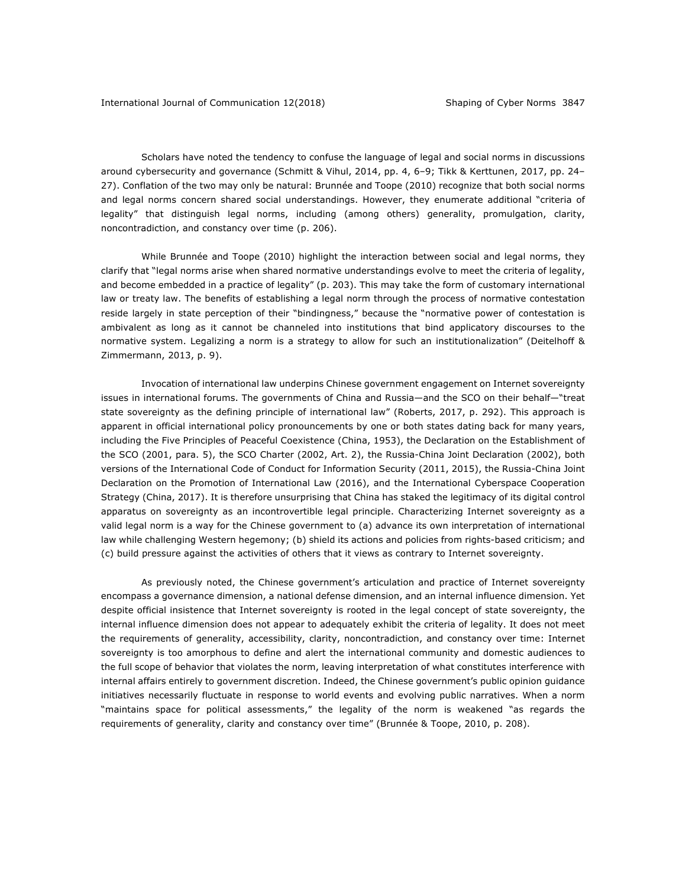Scholars have noted the tendency to confuse the language of legal and social norms in discussions around cybersecurity and governance (Schmitt & Vihul, 2014, pp. 4, 6–9; Tikk & Kerttunen, 2017, pp. 24– 27). Conflation of the two may only be natural: Brunnée and Toope (2010) recognize that both social norms and legal norms concern shared social understandings. However, they enumerate additional "criteria of legality" that distinguish legal norms, including (among others) generality, promulgation, clarity, noncontradiction, and constancy over time (p. 206).

While Brunnée and Toope (2010) highlight the interaction between social and legal norms, they clarify that "legal norms arise when shared normative understandings evolve to meet the criteria of legality, and become embedded in a practice of legality" (p. 203). This may take the form of customary international law or treaty law. The benefits of establishing a legal norm through the process of normative contestation reside largely in state perception of their "bindingness," because the "normative power of contestation is ambivalent as long as it cannot be channeled into institutions that bind applicatory discourses to the normative system. Legalizing a norm is a strategy to allow for such an institutionalization" (Deitelhoff & Zimmermann, 2013, p. 9).

Invocation of international law underpins Chinese government engagement on Internet sovereignty issues in international forums. The governments of China and Russia—and the SCO on their behalf—"treat state sovereignty as the defining principle of international law" (Roberts, 2017, p. 292). This approach is apparent in official international policy pronouncements by one or both states dating back for many years, including the Five Principles of Peaceful Coexistence (China, 1953), the Declaration on the Establishment of the SCO (2001, para. 5), the SCO Charter (2002, Art. 2), the Russia-China Joint Declaration (2002), both versions of the International Code of Conduct for Information Security (2011, 2015), the Russia-China Joint Declaration on the Promotion of International Law (2016), and the International Cyberspace Cooperation Strategy (China, 2017). It is therefore unsurprising that China has staked the legitimacy of its digital control apparatus on sovereignty as an incontrovertible legal principle. Characterizing Internet sovereignty as a valid legal norm is a way for the Chinese government to (a) advance its own interpretation of international law while challenging Western hegemony; (b) shield its actions and policies from rights-based criticism; and (c) build pressure against the activities of others that it views as contrary to Internet sovereignty.

As previously noted, the Chinese government's articulation and practice of Internet sovereignty encompass a governance dimension, a national defense dimension, and an internal influence dimension. Yet despite official insistence that Internet sovereignty is rooted in the legal concept of state sovereignty, the internal influence dimension does not appear to adequately exhibit the criteria of legality. It does not meet the requirements of generality, accessibility, clarity, noncontradiction, and constancy over time: Internet sovereignty is too amorphous to define and alert the international community and domestic audiences to the full scope of behavior that violates the norm, leaving interpretation of what constitutes interference with internal affairs entirely to government discretion. Indeed, the Chinese government's public opinion guidance initiatives necessarily fluctuate in response to world events and evolving public narratives. When a norm "maintains space for political assessments," the legality of the norm is weakened "as regards the requirements of generality, clarity and constancy over time" (Brunnée & Toope, 2010, p. 208).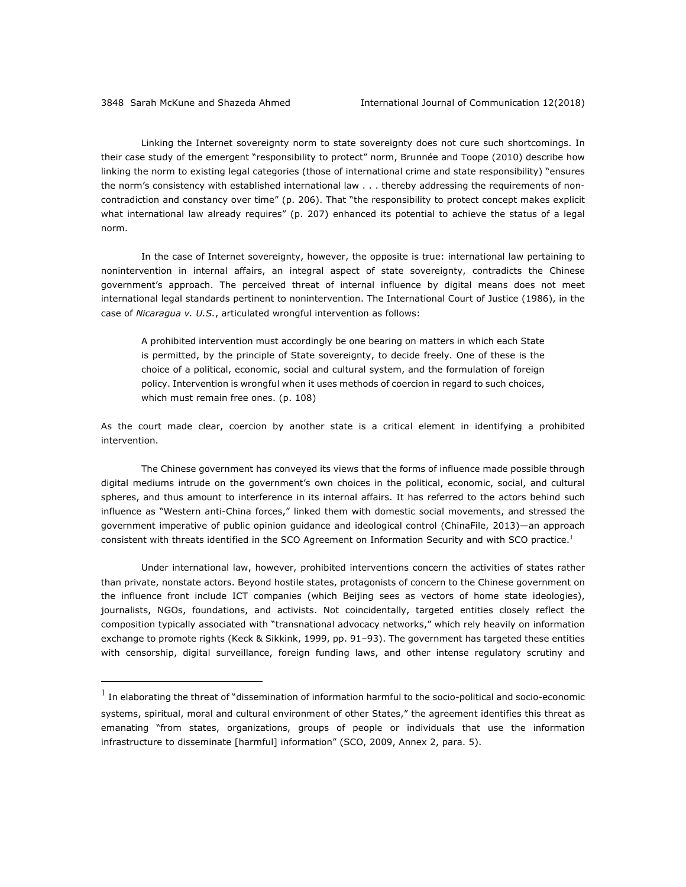Linking the Internet sovereignty norm to state sovereignty does not cure such shortcomings. In their case study of the emergent "responsibility to protect" norm, Brunnée and Toope (2010) describe how linking the norm to existing legal categories (those of international crime and state responsibility) "ensures the norm's consistency with established international law . . . thereby addressing the requirements of noncontradiction and constancy over time" (p. 206). That "the responsibility to protect concept makes explicit what international law already requires" (p. 207) enhanced its potential to achieve the status of a legal norm.

In the case of Internet sovereignty, however, the opposite is true: international law pertaining to nonintervention in internal affairs, an integral aspect of state sovereignty, contradicts the Chinese government's approach. The perceived threat of internal influence by digital means does not meet international legal standards pertinent to nonintervention. The International Court of Justice (1986), in the case of *Nicaragua v. U.S.*, articulated wrongful intervention as follows:

A prohibited intervention must accordingly be one bearing on matters in which each State is permitted, by the principle of State sovereignty, to decide freely. One of these is the choice of a political, economic, social and cultural system, and the formulation of foreign policy. Intervention is wrongful when it uses methods of coercion in regard to such choices, which must remain free ones. (p. 108)

As the court made clear, coercion by another state is a critical element in identifying a prohibited intervention.

The Chinese government has conveyed its views that the forms of influence made possible through digital mediums intrude on the government's own choices in the political, economic, social, and cultural spheres, and thus amount to interference in its internal affairs. It has referred to the actors behind such influence as "Western anti-China forces," linked them with domestic social movements, and stressed the government imperative of public opinion guidance and ideological control (ChinaFile, 2013)—an approach consistent with threats identified in the SCO Agreement on Information Security and with SCO practice.<sup>1</sup>

Under international law, however, prohibited interventions concern the activities of states rather than private, nonstate actors. Beyond hostile states, protagonists of concern to the Chinese government on the influence front include ICT companies (which Beijing sees as vectors of home state ideologies), journalists, NGOs, foundations, and activists. Not coincidentally, targeted entities closely reflect the composition typically associated with "transnational advocacy networks," which rely heavily on information exchange to promote rights (Keck & Sikkink, 1999, pp. 91–93). The government has targeted these entities with censorship, digital surveillance, foreign funding laws, and other intense regulatory scrutiny and

 $<sup>1</sup>$  In elaborating the threat of "dissemination of information harmful to the socio-political and socio-economic</sup> systems, spiritual, moral and cultural environment of other States," the agreement identifies this threat as emanating "from states, organizations, groups of people or individuals that use the information infrastructure to disseminate [harmful] information" (SCO, 2009, Annex 2, para. 5).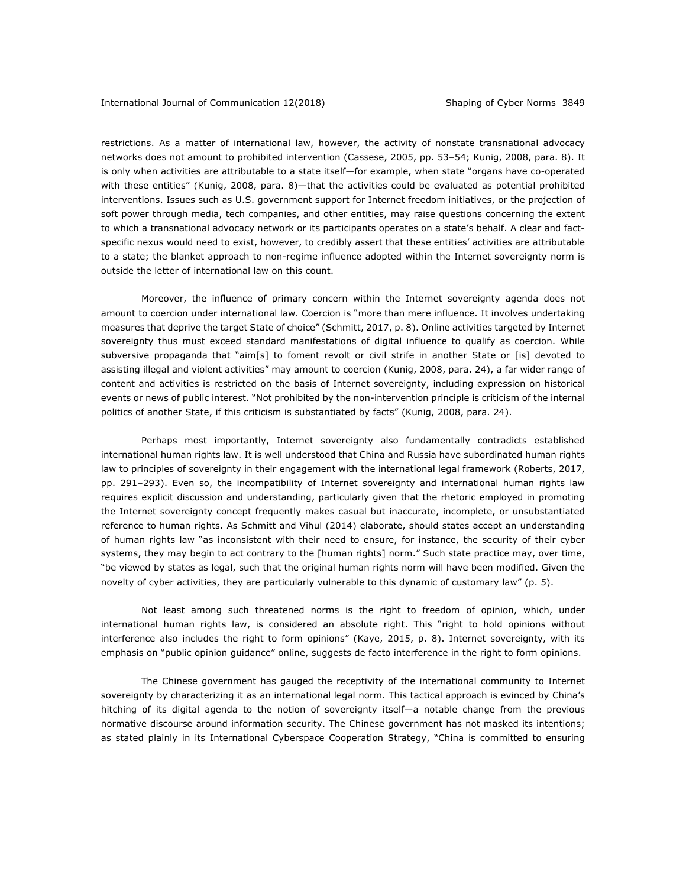restrictions. As a matter of international law, however, the activity of nonstate transnational advocacy networks does not amount to prohibited intervention (Cassese, 2005, pp. 53–54; Kunig, 2008, para. 8). It is only when activities are attributable to a state itself—for example, when state "organs have co-operated with these entities" (Kunig, 2008, para. 8)—that the activities could be evaluated as potential prohibited interventions. Issues such as U.S. government support for Internet freedom initiatives, or the projection of soft power through media, tech companies, and other entities, may raise questions concerning the extent to which a transnational advocacy network or its participants operates on a state's behalf. A clear and factspecific nexus would need to exist, however, to credibly assert that these entities' activities are attributable to a state; the blanket approach to non-regime influence adopted within the Internet sovereignty norm is outside the letter of international law on this count.

Moreover, the influence of primary concern within the Internet sovereignty agenda does not amount to coercion under international law. Coercion is "more than mere influence. It involves undertaking measures that deprive the target State of choice" (Schmitt, 2017, p. 8). Online activities targeted by Internet sovereignty thus must exceed standard manifestations of digital influence to qualify as coercion. While subversive propaganda that "aim[s] to foment revolt or civil strife in another State or [is] devoted to assisting illegal and violent activities" may amount to coercion (Kunig, 2008, para. 24), a far wider range of content and activities is restricted on the basis of Internet sovereignty, including expression on historical events or news of public interest. "Not prohibited by the non-intervention principle is criticism of the internal politics of another State, if this criticism is substantiated by facts" (Kunig, 2008, para. 24).

Perhaps most importantly, Internet sovereignty also fundamentally contradicts established international human rights law. It is well understood that China and Russia have subordinated human rights law to principles of sovereignty in their engagement with the international legal framework (Roberts, 2017, pp. 291–293). Even so, the incompatibility of Internet sovereignty and international human rights law requires explicit discussion and understanding, particularly given that the rhetoric employed in promoting the Internet sovereignty concept frequently makes casual but inaccurate, incomplete, or unsubstantiated reference to human rights. As Schmitt and Vihul (2014) elaborate, should states accept an understanding of human rights law "as inconsistent with their need to ensure, for instance, the security of their cyber systems, they may begin to act contrary to the [human rights] norm." Such state practice may, over time, "be viewed by states as legal, such that the original human rights norm will have been modified. Given the novelty of cyber activities, they are particularly vulnerable to this dynamic of customary law" (p. 5).

Not least among such threatened norms is the right to freedom of opinion, which, under international human rights law, is considered an absolute right. This "right to hold opinions without interference also includes the right to form opinions" (Kaye, 2015, p. 8). Internet sovereignty, with its emphasis on "public opinion guidance" online, suggests de facto interference in the right to form opinions.

The Chinese government has gauged the receptivity of the international community to Internet sovereignty by characterizing it as an international legal norm. This tactical approach is evinced by China's hitching of its digital agenda to the notion of sovereignty itself—a notable change from the previous normative discourse around information security. The Chinese government has not masked its intentions; as stated plainly in its International Cyberspace Cooperation Strategy, "China is committed to ensuring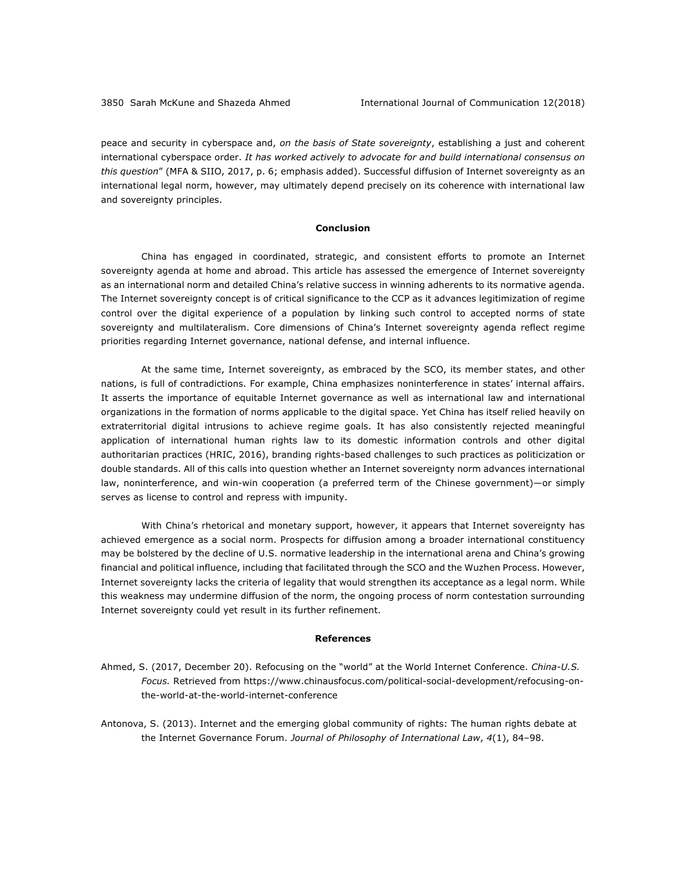peace and security in cyberspace and, *on the basis of State sovereignty*, establishing a just and coherent international cyberspace order. *It has worked actively to advocate for and build international consensus on this question*" (MFA & SIIO, 2017, p. 6; emphasis added). Successful diffusion of Internet sovereignty as an international legal norm, however, may ultimately depend precisely on its coherence with international law and sovereignty principles.

## **Conclusion**

China has engaged in coordinated, strategic, and consistent efforts to promote an Internet sovereignty agenda at home and abroad. This article has assessed the emergence of Internet sovereignty as an international norm and detailed China's relative success in winning adherents to its normative agenda. The Internet sovereignty concept is of critical significance to the CCP as it advances legitimization of regime control over the digital experience of a population by linking such control to accepted norms of state sovereignty and multilateralism. Core dimensions of China's Internet sovereignty agenda reflect regime priorities regarding Internet governance, national defense, and internal influence.

At the same time, Internet sovereignty, as embraced by the SCO, its member states, and other nations, is full of contradictions. For example, China emphasizes noninterference in states' internal affairs. It asserts the importance of equitable Internet governance as well as international law and international organizations in the formation of norms applicable to the digital space. Yet China has itself relied heavily on extraterritorial digital intrusions to achieve regime goals. It has also consistently rejected meaningful application of international human rights law to its domestic information controls and other digital authoritarian practices (HRIC, 2016), branding rights-based challenges to such practices as politicization or double standards. All of this calls into question whether an Internet sovereignty norm advances international law, noninterference, and win-win cooperation (a preferred term of the Chinese government)—or simply serves as license to control and repress with impunity.

With China's rhetorical and monetary support, however, it appears that Internet sovereignty has achieved emergence as a social norm. Prospects for diffusion among a broader international constituency may be bolstered by the decline of U.S. normative leadership in the international arena and China's growing financial and political influence, including that facilitated through the SCO and the Wuzhen Process. However, Internet sovereignty lacks the criteria of legality that would strengthen its acceptance as a legal norm. While this weakness may undermine diffusion of the norm, the ongoing process of norm contestation surrounding Internet sovereignty could yet result in its further refinement.

#### **References**

- Ahmed, S. (2017, December 20). Refocusing on the "world" at the World Internet Conference. *China-U.S. Focus.* Retrieved from https://www.chinausfocus.com/political-social-development/refocusing-onthe-world-at-the-world-internet-conference
- Antonova, S. (2013). Internet and the emerging global community of rights: The human rights debate at the Internet Governance Forum. *Journal of Philosophy of International Law*,  $4(1)$ , 84-98.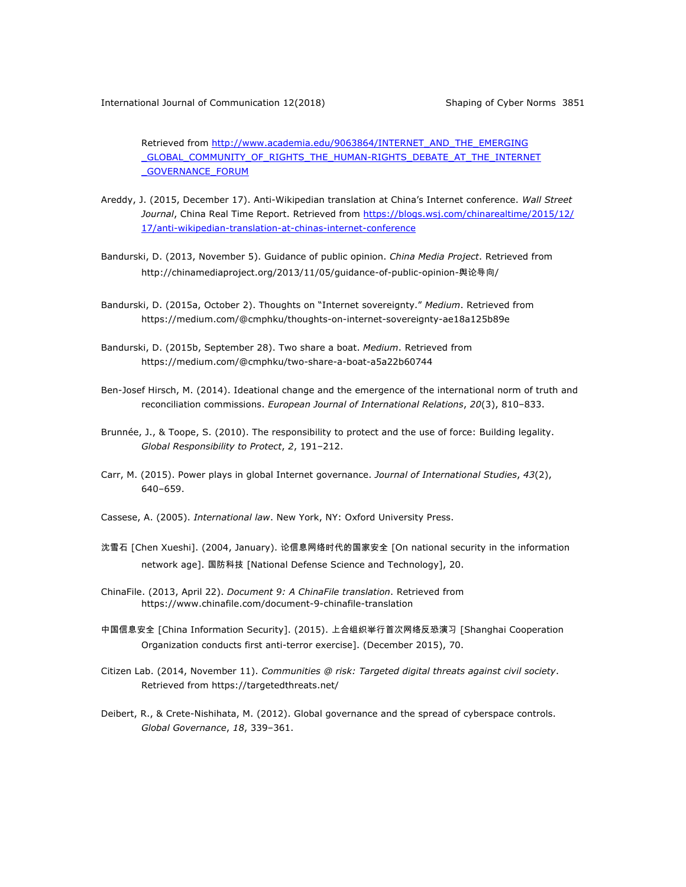Retrieved from http://www.academia.edu/9063864/INTERNET\_AND\_THE\_EMERGING GLOBAL COMMUNITY OF RIGHTS THE HUMAN-RIGHTS DEBATE AT THE INTERNET \_GOVERNANCE\_FORUM

- Areddy, J. (2015, December 17). Anti-Wikipedian translation at China's Internet conference. *Wall Street Journal*, China Real Time Report. Retrieved from https://blogs.wsj.com/chinarealtime/2015/12/ 17/anti-wikipedian-translation-at-chinas-internet-conference
- Bandurski, D. (2013, November 5). Guidance of public opinion. *China Media Project*. Retrieved from http://chinamediaproject.org/2013/11/05/guidance-of-public-opinion-舆论导向/
- Bandurski, D. (2015a, October 2). Thoughts on "Internet sovereignty." *Medium*. Retrieved from https://medium.com/@cmphku/thoughts-on-internet-sovereignty-ae18a125b89e
- Bandurski, D. (2015b, September 28). Two share a boat. *Medium*. Retrieved from https://medium.com/@cmphku/two-share-a-boat-a5a22b60744
- Ben-Josef Hirsch, M. (2014). Ideational change and the emergence of the international norm of truth and reconciliation commissions. *European Journal of International Relations*, *20*(3), 810–833.
- Brunnée, J., & Toope, S. (2010). The responsibility to protect and the use of force: Building legality. *Global Responsibility to Protect, 2, 191-212.*
- Carr, M. (2015). Power plays in global Internet governance. *Journal of International Studies*, *43*(2), 640–659.
- Cassese, A. (2005). *International law*. New York, NY: Oxford University Press.
- 沈雪石 [Chen Xueshi]. (2004, January). 论信息网络时代的国家安全 [On national security in the information network age]. 国防科技 [National Defense Science and Technology], 20.
- ChinaFile. (2013, April 22). *Document 9: A ChinaFile translation*. Retrieved from https://www.chinafile.com/document-9-chinafile-translation
- 中国信息安全 [China Information Security]. (2015). 上合组织举行首次网络反恐演习 [Shanghai Cooperation Organization conducts first anti-terror exercise]. (December 2015), 70.
- Citizen Lab. (2014, November 11). *Communities @ risk: Targeted digital threats against civil society*. Retrieved from https://targetedthreats.net/
- Deibert, R., & Crete-Nishihata, M. (2012). Global governance and the spread of cyberspace controls. *Global Governance*, *18*, 339‒361.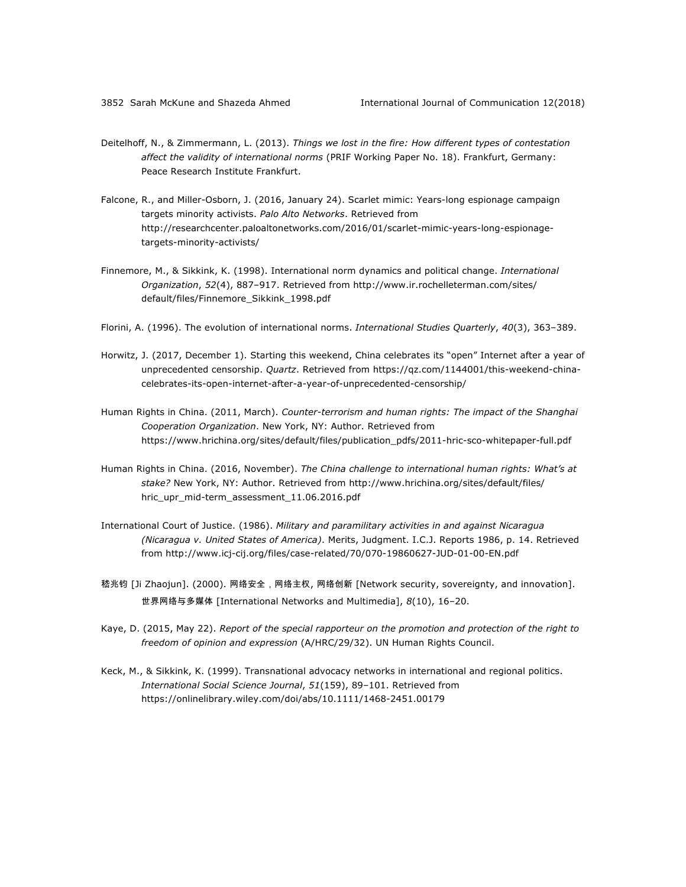- Deitelhoff, N., & Zimmermann, L. (2013). *Things we lost in the fire: How different types of contestation affect the validity of international norms* (PRIF Working Paper No. 18). Frankfurt, Germany: Peace Research Institute Frankfurt.
- Falcone, R., and Miller-Osborn, J. (2016, January 24). Scarlet mimic: Years-long espionage campaign targets minority activists. *Palo Alto Networks*. Retrieved from http://researchcenter.paloaltonetworks.com/2016/01/scarlet-mimic-years-long-espionagetargets-minority-activists/
- Finnemore, M., & Sikkink, K. (1998). International norm dynamics and political change. *International Organization*, *52*(4), 887‒917. Retrieved from http://www.ir.rochelleterman.com/sites/ default/files/Finnemore\_Sikkink\_1998.pdf
- Florini, A. (1996). The evolution of international norms. *International Studies Quarterly*, 40(3), 363-389.
- Horwitz, J. (2017, December 1). Starting this weekend, China celebrates its "open" Internet after a year of unprecedented censorship. *Quartz*. Retrieved from https://qz.com/1144001/this-weekend-chinacelebrates-its-open-internet-after-a-year-of-unprecedented-censorship/
- Human Rights in China. (2011, March). *Counter-terrorism and human rights: The impact of the Shanghai Cooperation Organization*. New York, NY: Author. Retrieved from https://www.hrichina.org/sites/default/files/publication\_pdfs/2011-hric-sco-whitepaper-full.pdf
- Human Rights in China. (2016, November). *The China challenge to international human rights: What's at stake?* New York, NY: Author. Retrieved from http://www.hrichina.org/sites/default/files/ hric\_upr\_mid-term\_assessment\_11.06.2016.pdf
- International Court of Justice. (1986). *Military and paramilitary activities in and against Nicaragua (Nicaragua v. United States of America)*. Merits, Judgment. I.C.J. Reports 1986, p. 14. Retrieved from http://www.icj-cij.org/files/case-related/70/070-19860627-JUD-01-00-EN.pdf
- 嵇兆钧 [Ji Zhaojun]. (2000). 网络安全,网络主权, 网络创新 [Network security, sovereignty, and innovation]. 世界网络与多媒体 [International Networks and Multimedia], *8*(10), 16‒20.
- Kaye, D. (2015, May 22). *Report of the special rapporteur on the promotion and protection of the right to freedom of opinion and expression* (A/HRC/29/32). UN Human Rights Council.
- Keck, M., & Sikkink, K. (1999). Transnational advocacy networks in international and regional politics. *International Social Science Journal*, *51*(159), 89‒101. Retrieved from https://onlinelibrary.wiley.com/doi/abs/10.1111/1468-2451.00179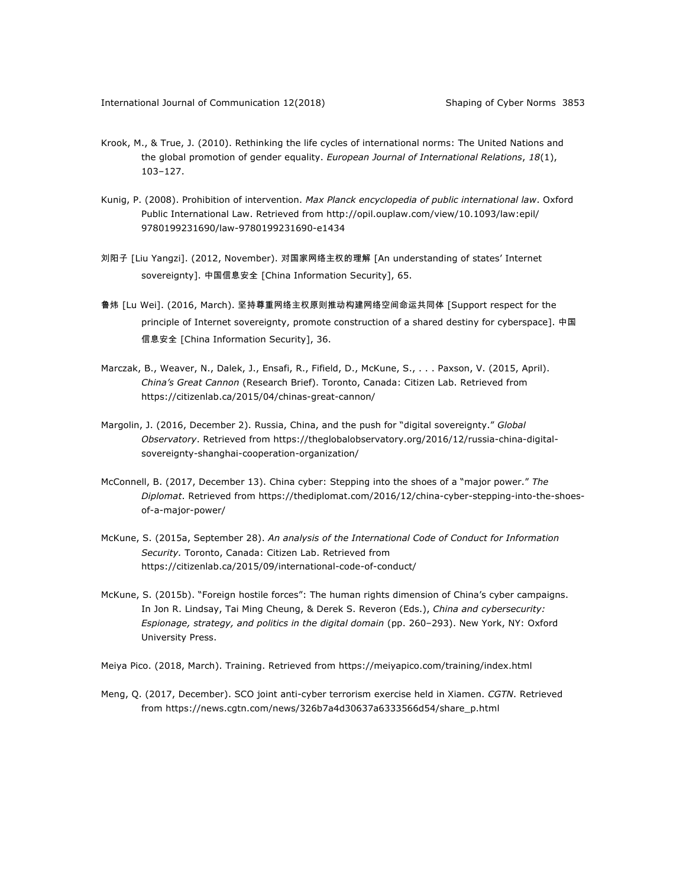- Krook, M., & True, J. (2010). Rethinking the life cycles of international norms: The United Nations and the global promotion of gender equality. *European Journal of International Relations*, *18*(1), 103–127.
- Kunig, P. (2008). Prohibition of intervention. *Max Planck encyclopedia of public international law*. Oxford Public International Law. Retrieved from http://opil.ouplaw.com/view/10.1093/law:epil/ 9780199231690/law-9780199231690-e1434
- 刘阳子 [Liu Yangzi]. (2012, November). 对国家网络主权的理解 [An understanding of states' Internet sovereignty]. 中国信息安全 [China Information Security], 65.
- 鲁炜 [Lu Wei]. (2016, March). 坚持尊重网络主权原则推动构建网络空间命运共同体 [Support respect for the principle of Internet sovereignty, promote construction of a shared destiny for cyberspace]. 中国 信息安全 [China Information Security], 36.
- Marczak, B., Weaver, N., Dalek, J., Ensafi, R., Fifield, D., McKune, S., . . . Paxson, V. (2015, April). *China's Great Cannon* (Research Brief). Toronto, Canada: Citizen Lab. Retrieved from https://citizenlab.ca/2015/04/chinas-great-cannon/
- Margolin, J. (2016, December 2). Russia, China, and the push for "digital sovereignty." *Global Observatory*. Retrieved from https://theglobalobservatory.org/2016/12/russia-china-digitalsovereignty-shanghai-cooperation-organization/
- McConnell, B. (2017, December 13). China cyber: Stepping into the shoes of a "major power." *The Diplomat*. Retrieved from https://thediplomat.com/2016/12/china-cyber-stepping-into-the-shoesof-a-major-power/
- McKune, S. (2015a, September 28). *An analysis of the International Code of Conduct for Information Security.* Toronto, Canada: Citizen Lab. Retrieved from https://citizenlab.ca/2015/09/international-code-of-conduct/
- McKune, S. (2015b). "Foreign hostile forces": The human rights dimension of China's cyber campaigns. In Jon R. Lindsay, Tai Ming Cheung, & Derek S. Reveron (Eds.), *China and cybersecurity: Espionage, strategy, and politics in the digital domain* (pp. 260‒293). New York, NY: Oxford University Press.
- Meiya Pico. (2018, March). Training. Retrieved from https://meiyapico.com/training/index.html
- Meng, Q. (2017, December). SCO joint anti-cyber terrorism exercise held in Xiamen. *CGTN*. Retrieved from https://news.cgtn.com/news/326b7a4d30637a6333566d54/share\_p.html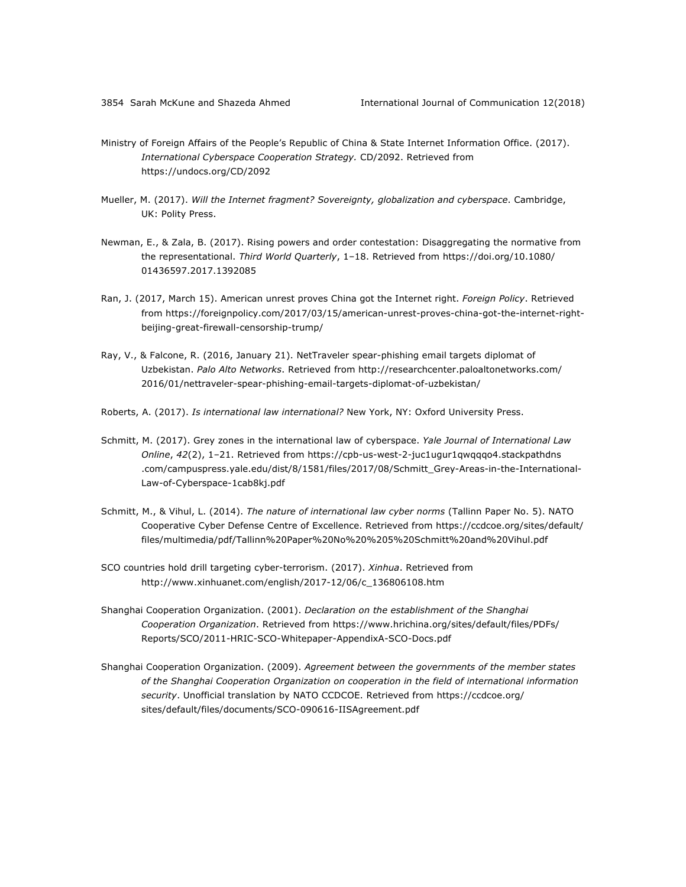- Ministry of Foreign Affairs of the People's Republic of China & State Internet Information Office. (2017). *International Cyberspace Cooperation Strategy.* CD/2092. Retrieved from https://undocs.org/CD/2092
- Mueller, M. (2017). *Will the Internet fragment? Sovereignty, globalization and cyberspace*. Cambridge, UK: Polity Press.
- Newman, E., & Zala, B. (2017). Rising powers and order contestation: Disaggregating the normative from the representational. *Third World Quarterly*, 1–18. Retrieved from https://doi.org/10.1080/ 01436597.2017.1392085
- Ran, J. (2017, March 15). American unrest proves China got the Internet right. *Foreign Policy*. Retrieved from https://foreignpolicy.com/2017/03/15/american-unrest-proves-china-got-the-internet-rightbeijing-great-firewall-censorship-trump/
- Ray, V., & Falcone, R. (2016, January 21). NetTraveler spear-phishing email targets diplomat of Uzbekistan. *Palo Alto Networks*. Retrieved from http://researchcenter.paloaltonetworks.com/ 2016/01/nettraveler-spear-phishing-email-targets-diplomat-of-uzbekistan/
- Roberts, A. (2017). *Is international law international?* New York, NY: Oxford University Press.
- Schmitt, M. (2017). Grey zones in the international law of cyberspace. *Yale Journal of International Law Online*, *42*(2), 1‒21. Retrieved from https://cpb-us-west-2-juc1ugur1qwqqqo4.stackpathdns .com/campuspress.yale.edu/dist/8/1581/files/2017/08/Schmitt\_Grey-Areas-in-the-International-Law-of-Cyberspace-1cab8kj.pdf
- Schmitt, M., & Vihul, L. (2014). *The nature of international law cyber norms* (Tallinn Paper No. 5). NATO Cooperative Cyber Defense Centre of Excellence. Retrieved from https://ccdcoe.org/sites/default/ files/multimedia/pdf/Tallinn%20Paper%20No%20%205%20Schmitt%20and%20Vihul.pdf
- SCO countries hold drill targeting cyber-terrorism. (2017). *Xinhua*. Retrieved from http://www.xinhuanet.com/english/2017-12/06/c\_136806108.htm
- Shanghai Cooperation Organization. (2001). *Declaration on the establishment of the Shanghai Cooperation Organization*. Retrieved from https://www.hrichina.org/sites/default/files/PDFs/ Reports/SCO/2011-HRIC-SCO-Whitepaper-AppendixA-SCO-Docs.pdf
- Shanghai Cooperation Organization. (2009). *Agreement between the governments of the member states of the Shanghai Cooperation Organization on cooperation in the field of international information security*. Unofficial translation by NATO CCDCOE. Retrieved from https://ccdcoe.org/ sites/default/files/documents/SCO-090616-IISAgreement.pdf